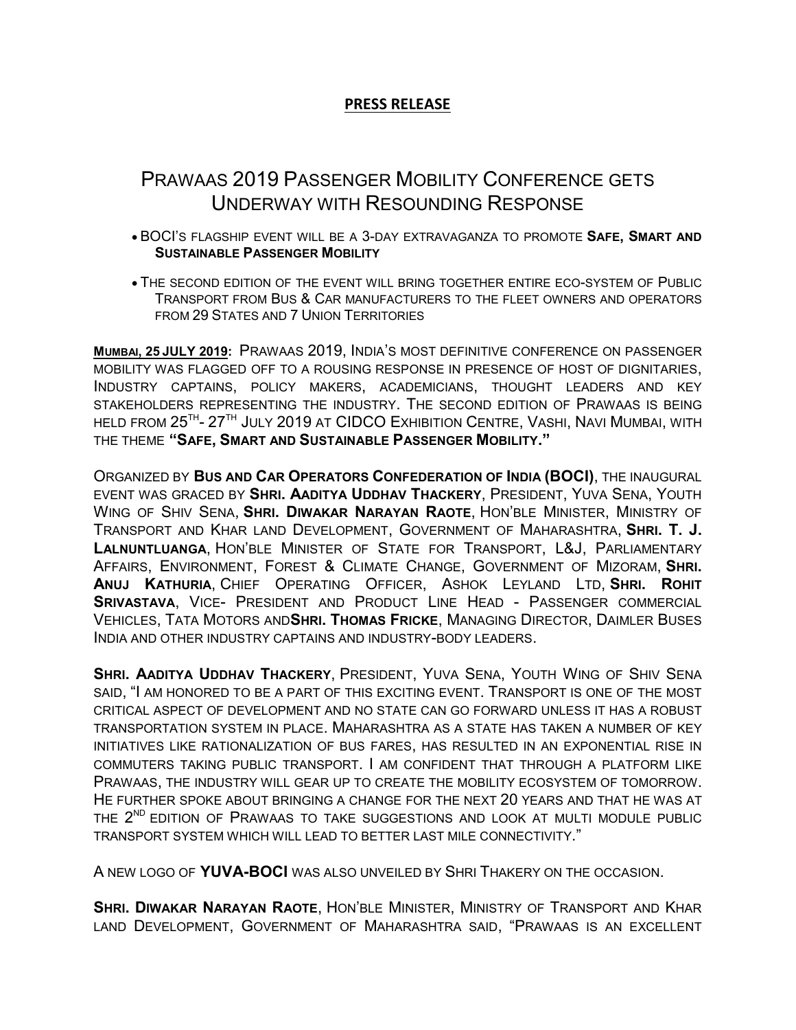## **PRESS RELEASE**

## PRAWAAS 2019 PASSENGER MOBILITY CONFERENCE GETS UNDERWAY WITH RESOUNDING RESPONSE

- BOCI'S FLAGSHIP EVENT WILL BE A 3-DAY EXTRAVAGANZA TO PROMOTE **SAFE, SMART AND SUSTAINABLE PASSENGER MOBILITY**
- THE SECOND EDITION OF THE EVENT WILL BRING TOGETHER ENTIRE ECO-SYSTEM OF PUBLIC TRANSPORT FROM BUS & CAR MANUFACTURERS TO THE FLEET OWNERS AND OPERATORS FROM 29 STATES AND 7 UNION TERRITORIES

**MUMBAI, 25 JULY 2019:** PRAWAAS 2019, INDIA'S MOST DEFINITIVE CONFERENCE ON PASSENGER MOBILITY WAS FLAGGED OFF TO A ROUSING RESPONSE IN PRESENCE OF HOST OF DIGNITARIES, INDUSTRY CAPTAINS, POLICY MAKERS, ACADEMICIANS, THOUGHT LEADERS AND KEY STAKEHOLDERS REPRESENTING THE INDUSTRY. THE SECOND EDITION OF PRAWAAS IS BEING HELD FROM  $25^{\text{th}}$ -  $27^{\text{th}}$  July 2019 at CIDCO Exhibition Centre, Vashi, Navi Mumbai, with THE THEME **"SAFE, SMART AND SUSTAINABLE PASSENGER MOBILITY."**

ORGANIZED BY **BUS AND CAR OPERATORS CONFEDERATION OF INDIA (BOCI)**, THE INAUGURAL EVENT WAS GRACED BY **SHRI. AADITYA UDDHAV THACKERY**, PRESIDENT, YUVA SENA, YOUTH WING OF SHIV SENA, **SHRI. DIWAKAR NARAYAN RAOTE**, HON'BLE MINISTER, MINISTRY OF TRANSPORT AND KHAR LAND DEVELOPMENT, GOVERNMENT OF MAHARASHTRA, **SHRI. T. J. LALNUNTLUANGA**, HON'BLE MINISTER OF STATE FOR TRANSPORT, L&J, PARLIAMENTARY AFFAIRS, ENVIRONMENT, FOREST & CLIMATE CHANGE, GOVERNMENT OF MIZORAM, **SHRI. ANUJ KATHURIA**, CHIEF OPERATING OFFICER, ASHOK LEYLAND LTD, **SHRI. ROHIT SRIVASTAVA**, VICE- PRESIDENT AND PRODUCT LINE HEAD - PASSENGER COMMERCIAL VEHICLES, TATA MOTORS AND**SHRI. THOMAS FRICKE**, MANAGING DIRECTOR, DAIMLER BUSES INDIA AND OTHER INDUSTRY CAPTAINS AND INDUSTRY-BODY LEADERS.

**SHRI. AADITYA UDDHAV THACKERY**, PRESIDENT, YUVA SENA, YOUTH WING OF SHIV SENA SAID, "I AM HONORED TO BE A PART OF THIS EXCITING EVENT. TRANSPORT IS ONE OF THE MOST CRITICAL ASPECT OF DEVELOPMENT AND NO STATE CAN GO FORWARD UNLESS IT HAS A ROBUST TRANSPORTATION SYSTEM IN PLACE. MAHARASHTRA AS A STATE HAS TAKEN A NUMBER OF KEY INITIATIVES LIKE RATIONALIZATION OF BUS FARES, HAS RESULTED IN AN EXPONENTIAL RISE IN COMMUTERS TAKING PUBLIC TRANSPORT. I AM CONFIDENT THAT THROUGH A PLATFORM LIKE PRAWAAS, THE INDUSTRY WILL GEAR UP TO CREATE THE MOBILITY ECOSYSTEM OF TOMORROW. HE FURTHER SPOKE ABOUT BRINGING A CHANGE FOR THE NEXT 20 YEARS AND THAT HE WAS AT THE  $2^{\text{ND}}$  edition of Prawaas to take suggestions and look at multi module public TRANSPORT SYSTEM WHICH WILL LEAD TO BETTER LAST MILE CONNECTIVITY."

A NEW LOGO OF **YUVA-BOCI** WAS ALSO UNVEILED BY SHRI THAKERY ON THE OCCASION.

**SHRI. DIWAKAR NARAYAN RAOTE**, HON'BLE MINISTER, MINISTRY OF TRANSPORT AND KHAR LAND DEVELOPMENT, GOVERNMENT OF MAHARASHTRA SAID, "PRAWAAS IS AN EXCELLENT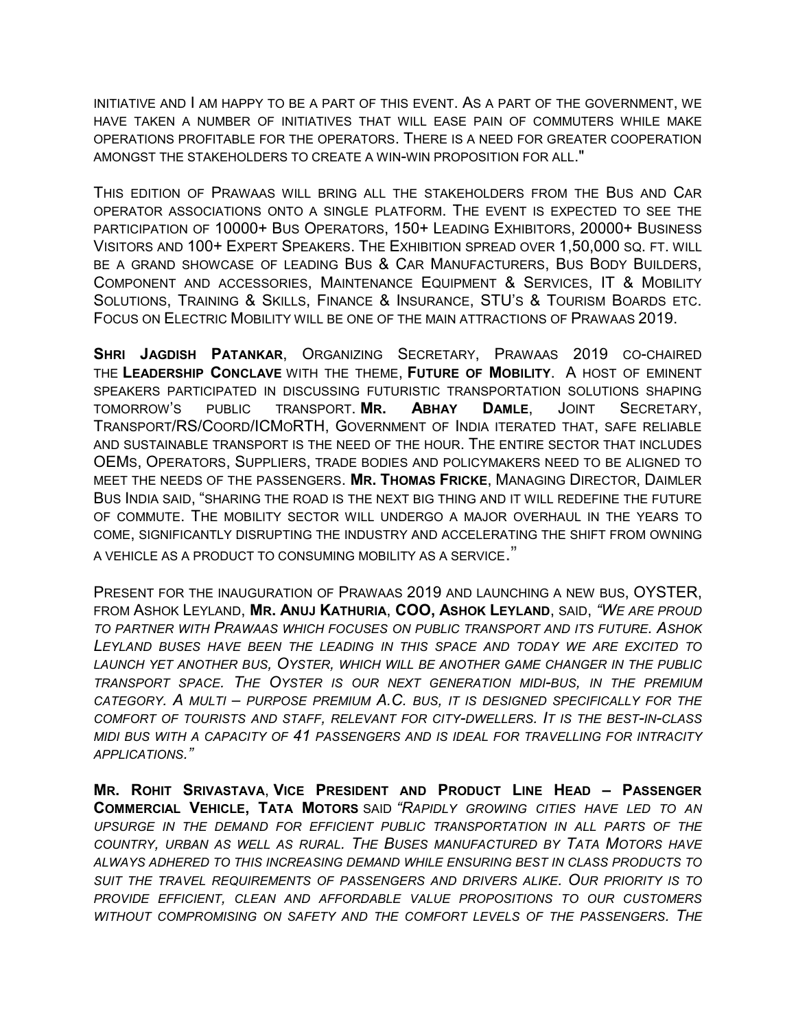INITIATIVE AND I AM HAPPY TO BE A PART OF THIS EVENT. AS A PART OF THE GOVERNMENT, WE HAVE TAKEN A NUMBER OF INITIATIVES THAT WILL EASE PAIN OF COMMUTERS WHILE MAKE OPERATIONS PROFITABLE FOR THE OPERATORS. THERE IS A NEED FOR GREATER COOPERATION AMONGST THE STAKEHOLDERS TO CREATE A WIN-WIN PROPOSITION FOR ALL."

THIS EDITION OF PRAWAAS WILL BRING ALL THE STAKEHOLDERS FROM THE BUS AND CAR OPERATOR ASSOCIATIONS ONTO A SINGLE PLATFORM. THE EVENT IS EXPECTED TO SEE THE PARTICIPATION OF 10000+ BUS OPERATORS, 150+ LEADING EXHIBITORS, 20000+ BUSINESS VISITORS AND 100+ EXPERT SPEAKERS. THE EXHIBITION SPREAD OVER 1,50,000 SQ. FT. WILL BE A GRAND SHOWCASE OF LEADING BUS & CAR MANUFACTURERS, BUS BODY BUILDERS, COMPONENT AND ACCESSORIES, MAINTENANCE EQUIPMENT & SERVICES, IT & MOBILITY SOLUTIONS, TRAINING & SKILLS, FINANCE & INSURANCE, STU'S & TOURISM BOARDS ETC. FOCUS ON ELECTRIC MOBILITY WILL BE ONE OF THE MAIN ATTRACTIONS OF PRAWAAS 2019.

**SHRI JAGDISH PATANKAR**, ORGANIZING SECRETARY, PRAWAAS 2019 CO-CHAIRED THE **LEADERSHIP CONCLAVE** WITH THE THEME, **FUTURE OF MOBILITY**. A HOST OF EMINENT SPEAKERS PARTICIPATED IN DISCUSSING FUTURISTIC TRANSPORTATION SOLUTIONS SHAPING TOMORROW'S PUBLIC TRANSPORT. **MR. ABHAY DAMLE**, JOINT SECRETARY, TRANSPORT/RS/COORD/ICMORTH, GOVERNMENT OF INDIA ITERATED THAT, SAFE RELIABLE AND SUSTAINABLE TRANSPORT IS THE NEED OF THE HOUR. THE ENTIRE SECTOR THAT INCLUDES OEMS, OPERATORS, SUPPLIERS, TRADE BODIES AND POLICYMAKERS NEED TO BE ALIGNED TO MEET THE NEEDS OF THE PASSENGERS. **MR. THOMAS FRICKE**, MANAGING DIRECTOR, DAIMLER BUS INDIA SAID, "SHARING THE ROAD IS THE NEXT BIG THING AND IT WILL REDEFINE THE FUTURE OF COMMUTE. THE MOBILITY SECTOR WILL UNDERGO A MAJOR OVERHAUL IN THE YEARS TO COME, SIGNIFICANTLY DISRUPTING THE INDUSTRY AND ACCELERATING THE SHIFT FROM OWNING A VEHICLE AS A PRODUCT TO CONSUMING MOBILITY AS A SERVICE."

PRESENT FOR THE INAUGURATION OF PRAWAAS 2019 AND LAUNCHING A NEW BUS, OYSTER, FROM ASHOK LEYLAND, **MR. ANUJ KATHURIA**, **COO, ASHOK LEYLAND**, SAID, *"WE ARE PROUD TO PARTNER WITH PRAWAAS WHICH FOCUSES ON PUBLIC TRANSPORT AND ITS FUTURE. ASHOK LEYLAND BUSES HAVE BEEN THE LEADING IN THIS SPACE AND TODAY WE ARE EXCITED TO LAUNCH YET ANOTHER BUS, OYSTER, WHICH WILL BE ANOTHER GAME CHANGER IN THE PUBLIC TRANSPORT SPACE. THE OYSTER IS OUR NEXT GENERATION MIDI-BUS, IN THE PREMIUM CATEGORY. A MULTI – PURPOSE PREMIUM A.C. BUS, IT IS DESIGNED SPECIFICALLY FOR THE COMFORT OF TOURISTS AND STAFF, RELEVANT FOR CITY-DWELLERS. IT IS THE BEST-IN-CLASS MIDI BUS WITH A CAPACITY OF 41 PASSENGERS AND IS IDEAL FOR TRAVELLING FOR INTRACITY APPLICATIONS."*

**MR. ROHIT SRIVASTAVA**, **VICE PRESIDENT AND PRODUCT LINE HEAD – PASSENGER COMMERCIAL VEHICLE, TATA MOTORS** SAID *"RAPIDLY GROWING CITIES HAVE LED TO AN UPSURGE IN THE DEMAND FOR EFFICIENT PUBLIC TRANSPORTATION IN ALL PARTS OF THE COUNTRY, URBAN AS WELL AS RURAL. THE BUSES MANUFACTURED BY TATA MOTORS HAVE ALWAYS ADHERED TO THIS INCREASING DEMAND WHILE ENSURING BEST IN CLASS PRODUCTS TO SUIT THE TRAVEL REQUIREMENTS OF PASSENGERS AND DRIVERS ALIKE. OUR PRIORITY IS TO PROVIDE EFFICIENT, CLEAN AND AFFORDABLE VALUE PROPOSITIONS TO OUR CUSTOMERS WITHOUT COMPROMISING ON SAFETY AND THE COMFORT LEVELS OF THE PASSENGERS. THE*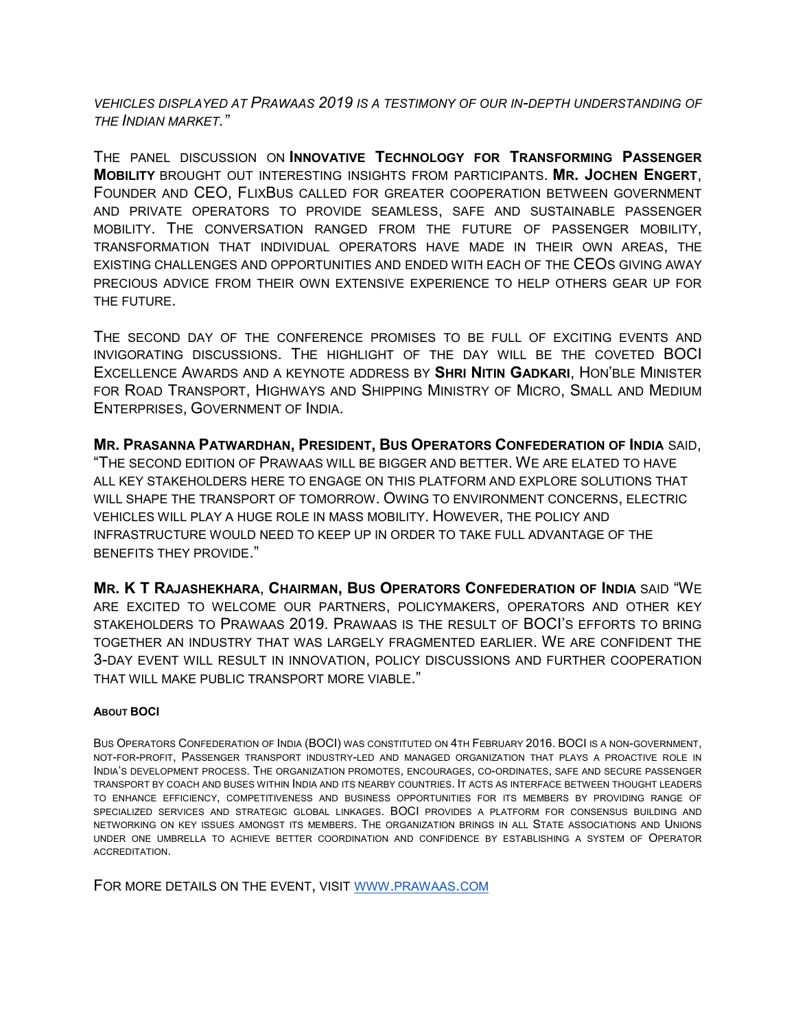*VEHICLES DISPLAYED AT PRAWAAS 2019 IS A TESTIMONY OF OUR IN-DEPTH UNDERSTANDING OF THE INDIAN MARKET."*

THE PANEL DISCUSSION ON **INNOVATIVE TECHNOLOGY FOR TRANSFORMING PASSENGER MOBILITY** BROUGHT OUT INTERESTING INSIGHTS FROM PARTICIPANTS. **MR. JOCHEN ENGERT**, FOUNDER AND CEO, FLIXBUS CALLED FOR GREATER COOPERATION BETWEEN GOVERNMENT AND PRIVATE OPERATORS TO PROVIDE SEAMLESS, SAFE AND SUSTAINABLE PASSENGER MOBILITY. THE CONVERSATION RANGED FROM THE FUTURE OF PASSENGER MOBILITY, TRANSFORMATION THAT INDIVIDUAL OPERATORS HAVE MADE IN THEIR OWN AREAS, THE EXISTING CHALLENGES AND OPPORTUNITIES AND ENDED WITH EACH OF THE CEOS GIVING AWAY PRECIOUS ADVICE FROM THEIR OWN EXTENSIVE EXPERIENCE TO HELP OTHERS GEAR UP FOR THE FUTURE.

THE SECOND DAY OF THE CONFERENCE PROMISES TO BE FULL OF EXCITING EVENTS AND INVIGORATING DISCUSSIONS. THE HIGHLIGHT OF THE DAY WILL BE THE COVETED BOCI EXCELLENCE AWARDS AND A KEYNOTE ADDRESS BY **SHRI NITIN GADKARI**, HON'BLE MINISTER FOR ROAD TRANSPORT, HIGHWAYS AND SHIPPING MINISTRY OF MICRO, SMALL AND MEDIUM ENTERPRISES, GOVERNMENT OF INDIA.

**MR. PRASANNA PATWARDHAN, PRESIDENT, BUS OPERATORS CONFEDERATION OF INDIA** SAID, "THE SECOND EDITION OF PRAWAAS WILL BE BIGGER AND BETTER. WE ARE ELATED TO HAVE ALL KEY STAKEHOLDERS HERE TO ENGAGE ON THIS PLATFORM AND EXPLORE SOLUTIONS THAT WILL SHAPE THE TRANSPORT OF TOMORROW. OWING TO ENVIRONMENT CONCERNS, ELECTRIC VEHICLES WILL PLAY A HUGE ROLE IN MASS MOBILITY. HOWEVER, THE POLICY AND INFRASTRUCTURE WOULD NEED TO KEEP UP IN ORDER TO TAKE FULL ADVANTAGE OF THE BENEFITS THEY PROVIDE."

**MR. K T RAJASHEKHARA**, **CHAIRMAN, BUS OPERATORS CONFEDERATION OF INDIA** SAID "WE ARE EXCITED TO WELCOME OUR PARTNERS, POLICYMAKERS, OPERATORS AND OTHER KEY STAKEHOLDERS TO PRAWAAS 2019. PRAWAAS IS THE RESULT OF BOCI'S EFFORTS TO BRING TOGETHER AN INDUSTRY THAT WAS LARGELY FRAGMENTED EARLIER. WE ARE CONFIDENT THE 3-DAY EVENT WILL RESULT IN INNOVATION, POLICY DISCUSSIONS AND FURTHER COOPERATION THAT WILL MAKE PUBLIC TRANSPORT MORE VIABLE."

### **ABOUT BOCI**

BUS OPERATORS CONFEDERATION OF INDIA (BOCI) WAS CONSTITUTED ON 4TH FEBRUARY 2016. BOCI IS A NON-GOVERNMENT, NOT-FOR-PROFIT, PASSENGER TRANSPORT INDUSTRY-LED AND MANAGED ORGANIZATION THAT PLAYS A PROACTIVE ROLE IN INDIA'S DEVELOPMENT PROCESS. THE ORGANIZATION PROMOTES, ENCOURAGES, CO-ORDINATES, SAFE AND SECURE PASSENGER TRANSPORT BY COACH AND BUSES WITHIN INDIA AND ITS NEARBY COUNTRIES. IT ACTS AS INTERFACE BETWEEN THOUGHT LEADERS TO ENHANCE EFFICIENCY, COMPETITIVENESS AND BUSINESS OPPORTUNITIES FOR ITS MEMBERS BY PROVIDING RANGE OF SPECIALIZED SERVICES AND STRATEGIC GLOBAL LINKAGES. BOCI PROVIDES A PLATFORM FOR CONSENSUS BUILDING AND NETWORKING ON KEY ISSUES AMONGST ITS MEMBERS. THE ORGANIZATION BRINGS IN ALL STATE ASSOCIATIONS AND UNIONS UNDER ONE UMBRELLA TO ACHIEVE BETTER COORDINATION AND CONFIDENCE BY ESTABLISHING A SYSTEM OF OPERATOR ACCREDITATION.

FOR MORE DETAILS ON THE EVENT, VISIT WWW.[PRAWAAS](http://www.prawaas.com/).COM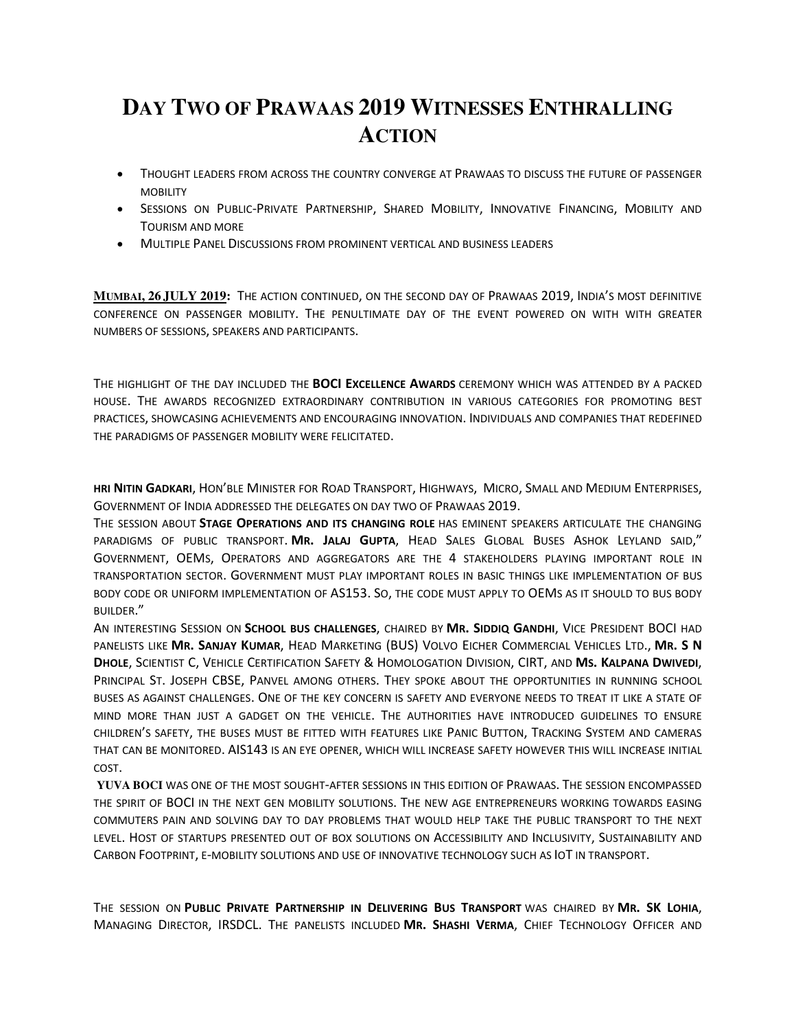# **DAY TWO OF PRAWAAS 2019 WITNESSES ENTHRALLING ACTION**

- THOUGHT LEADERS FROM ACROSS THE COUNTRY CONVERGE AT PRAWAAS TO DISCUSS THE FUTURE OF PASSENGER **MOBILITY**
- SESSIONS ON PUBLIC-PRIVATE PARTNERSHIP, SHARED MOBILITY, INNOVATIVE FINANCING, MOBILITY AND TOURISM AND MORE
- MULTIPLE PANEL DISCUSSIONS FROM PROMINENT VERTICAL AND BUSINESS LEADERS

**MUMBAI, 26 JULY 2019:** THE ACTION CONTINUED, ON THE SECOND DAY OF PRAWAAS 2019, INDIA'S MOST DEFINITIVE CONFERENCE ON PASSENGER MOBILITY. THE PENULTIMATE DAY OF THE EVENT POWERED ON WITH WITH GREATER NUMBERS OF SESSIONS, SPEAKERS AND PARTICIPANTS.

THE HIGHLIGHT OF THE DAY INCLUDED THE **BOCI EXCELLENCE AWARDS** CEREMONY WHICH WAS ATTENDED BY A PACKED HOUSE. THE AWARDS RECOGNIZED EXTRAORDINARY CONTRIBUTION IN VARIOUS CATEGORIES FOR PROMOTING BEST PRACTICES, SHOWCASING ACHIEVEMENTS AND ENCOURAGING INNOVATION. INDIVIDUALS AND COMPANIES THAT REDEFINED THE PARADIGMS OF PASSENGER MOBILITY WERE FELICITATED.

**HRI NITIN GADKARI**, HON'BLE MINISTER FOR ROAD TRANSPORT, HIGHWAYS, MICRO, SMALL AND MEDIUM ENTERPRISES, GOVERNMENT OF INDIA ADDRESSED THE DELEGATES ON DAY TWO OF PRAWAAS 2019.

THE SESSION ABOUT **STAGE OPERATIONS AND ITS CHANGING ROLE** HAS EMINENT SPEAKERS ARTICULATE THE CHANGING PARADIGMS OF PUBLIC TRANSPORT. **MR. JALAJ GUPTA**, HEAD SALES GLOBAL BUSES ASHOK LEYLAND SAID," GOVERNMENT, OEMS, OPERATORS AND AGGREGATORS ARE THE 4 STAKEHOLDERS PLAYING IMPORTANT ROLE IN TRANSPORTATION SECTOR. GOVERNMENT MUST PLAY IMPORTANT ROLES IN BASIC THINGS LIKE IMPLEMENTATION OF BUS BODY CODE OR UNIFORM IMPLEMENTATION OF AS153. SO, THE CODE MUST APPLY TO OEMS AS IT SHOULD TO BUS BODY BUILDER."

AN INTERESTING SESSION ON **SCHOOL BUS CHALLENGES**, CHAIRED BY **MR. SIDDIQ GANDHI**, VICE PRESIDENT BOCI HAD PANELISTS LIKE **MR. SANJAY KUMAR**, HEAD MARKETING (BUS) VOLVO EICHER COMMERCIAL VEHICLES LTD., **MR. S N DHOLE**, SCIENTIST C, VEHICLE CERTIFICATION SAFETY & HOMOLOGATION DIVISION, CIRT, AND **MS. KALPANA DWIVEDI**, PRINCIPAL ST. JOSEPH CBSE, PANVEL AMONG OTHERS. THEY SPOKE ABOUT THE OPPORTUNITIES IN RUNNING SCHOOL BUSES AS AGAINST CHALLENGES. ONE OF THE KEY CONCERN IS SAFETY AND EVERYONE NEEDS TO TREAT IT LIKE A STATE OF MIND MORE THAN JUST A GADGET ON THE VEHICLE. THE AUTHORITIES HAVE INTRODUCED GUIDELINES TO ENSURE CHILDREN'S SAFETY, THE BUSES MUST BE FITTED WITH FEATURES LIKE PANIC BUTTON, TRACKING SYSTEM AND CAMERAS THAT CAN BE MONITORED. AIS143 IS AN EYE OPENER, WHICH WILL INCREASE SAFETY HOWEVER THIS WILL INCREASE INITIAL COST.

**YUVA BOCI** WAS ONE OF THE MOST SOUGHT-AFTER SESSIONS IN THIS EDITION OF PRAWAAS. THE SESSION ENCOMPASSED THE SPIRIT OF BOCI IN THE NEXT GEN MOBILITY SOLUTIONS. THE NEW AGE ENTREPRENEURS WORKING TOWARDS EASING COMMUTERS PAIN AND SOLVING DAY TO DAY PROBLEMS THAT WOULD HELP TAKE THE PUBLIC TRANSPORT TO THE NEXT LEVEL. HOST OF STARTUPS PRESENTED OUT OF BOX SOLUTIONS ON ACCESSIBILITY AND INCLUSIVITY, SUSTAINABILITY AND CARBON FOOTPRINT, E-MOBILITY SOLUTIONS AND USE OF INNOVATIVE TECHNOLOGY SUCH AS IOT IN TRANSPORT.

THE SESSION ON **PUBLIC PRIVATE PARTNERSHIP IN DELIVERING BUS TRANSPORT** WAS CHAIRED BY **MR. SK LOHIA**, MANAGING DIRECTOR, IRSDCL. THE PANELISTS INCLUDED **MR. SHASHI VERMA**, CHIEF TECHNOLOGY OFFICER AND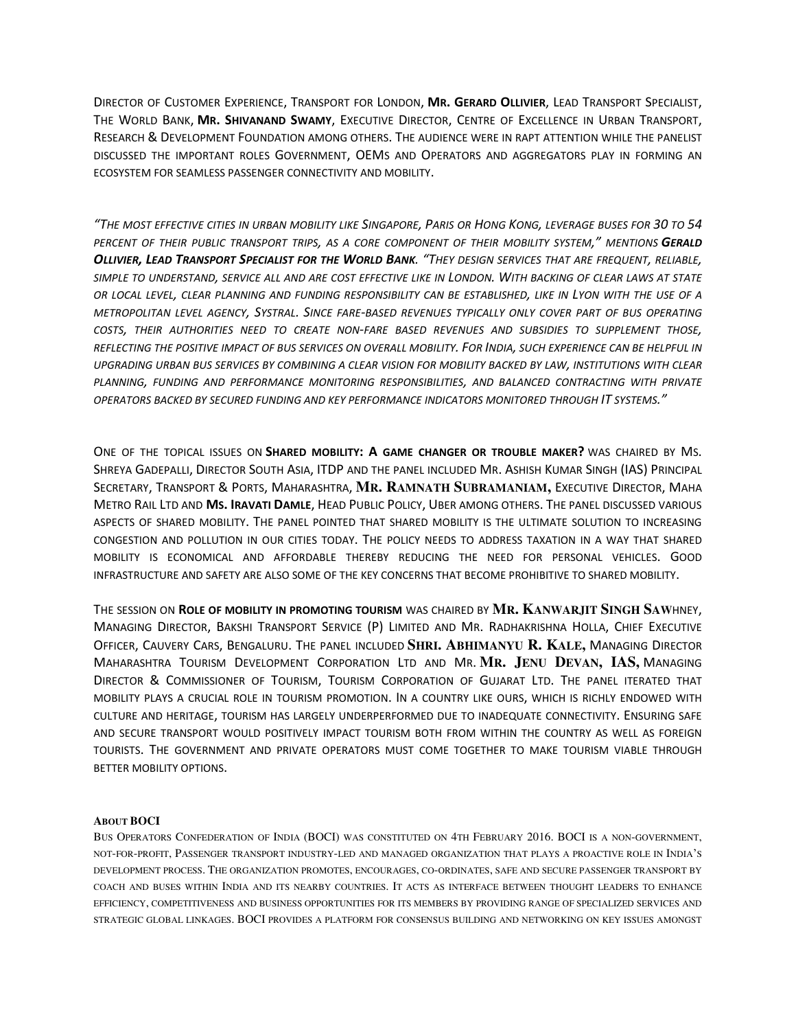DIRECTOR OF CUSTOMER EXPERIENCE, TRANSPORT FOR LONDON, **MR. GERARD OLLIVIER**, LEAD TRANSPORT SPECIALIST, THE WORLD BANK, **MR. SHIVANAND SWAMY**, EXECUTIVE DIRECTOR, CENTRE OF EXCELLENCE IN URBAN TRANSPORT, RESEARCH & DEVELOPMENT FOUNDATION AMONG OTHERS. THE AUDIENCE WERE IN RAPT ATTENTION WHILE THE PANELIST DISCUSSED THE IMPORTANT ROLES GOVERNMENT, OEMS AND OPERATORS AND AGGREGATORS PLAY IN FORMING AN ECOSYSTEM FOR SEAMLESS PASSENGER CONNECTIVITY AND MOBILITY.

"The most effective cities in urban mobility like Singapore, Paris or Hong Kong, leverage buses for 30 to 54 *PERCENT OF THEIR PUBLIC TRANSPORT TRIPS, AS A CORE COMPONENT OF THEIR MOBILITY SYSTEM," MENTIONS GERALD*  OLLIVIER, LEAD TRANSPORT SPECIALIST FOR THE WORLD BANK. "THEY DESIGN SERVICES THAT ARE FREQUENT, RELIABLE, *SIMPLE TO UNDERSTAND, SERVICE ALL AND ARE COST EFFECTIVE LIKE IN LONDON. WITH BACKING OF CLEAR LAWS AT STATE OR LOCAL LEVEL, CLEAR PLANNING AND FUNDING RESPONSIBILITY CAN BE ESTABLISHED, LIKE IN LYON WITH THE USE OF A METROPOLITAN LEVEL AGENCY, SYSTRAL. SINCE FARE-BASED REVENUES TYPICALLY ONLY COVER PART OF BUS OPERATING COSTS, THEIR AUTHORITIES NEED TO CREATE NON-FARE BASED REVENUES AND SUBSIDIES TO SUPPLEMENT THOSE, REFLECTING THE POSITIVE IMPACT OF BUS SERVICES ON OVERALL MOBILITY. FOR INDIA, SUCH EXPERIENCE CAN BE HELPFUL IN UPGRADING URBAN BUS SERVICES BY COMBINING A CLEAR VISION FOR MOBILITY BACKED BY LAW, INSTITUTIONS WITH CLEAR PLANNING, FUNDING AND PERFORMANCE MONITORING RESPONSIBILITIES, AND BALANCED CONTRACTING WITH PRIVATE OPERATORS BACKED BY SECURED FUNDING AND KEY PERFORMANCE INDICATORS MONITORED THROUGH IT SYSTEMS."*

ONE OF THE TOPICAL ISSUES ON **SHARED MOBILITY: A GAME CHANGER OR TROUBLE MAKER?** WAS CHAIRED BY MS. SHREYA GADEPALLI, DIRECTOR SOUTH ASIA, ITDP AND THE PANEL INCLUDED MR. ASHISH KUMAR SINGH (IAS) PRINCIPAL SECRETARY, TRANSPORT & PORTS, MAHARASHTRA, **MR. RAMNATH SUBRAMANIAM,** EXECUTIVE DIRECTOR, MAHA METRO RAIL LTD AND **MS. IRAVATI DAMLE**, HEAD PUBLIC POLICY, UBER AMONG OTHERS. THE PANEL DISCUSSED VARIOUS ASPECTS OF SHARED MOBILITY. THE PANEL POINTED THAT SHARED MOBILITY IS THE ULTIMATE SOLUTION TO INCREASING CONGESTION AND POLLUTION IN OUR CITIES TODAY. THE POLICY NEEDS TO ADDRESS TAXATION IN A WAY THAT SHARED MOBILITY IS ECONOMICAL AND AFFORDABLE THEREBY REDUCING THE NEED FOR PERSONAL VEHICLES. GOOD INFRASTRUCTURE AND SAFETY ARE ALSO SOME OF THE KEY CONCERNS THAT BECOME PROHIBITIVE TO SHARED MOBILITY.

THE SESSION ON **ROLE OF MOBILITY IN PROMOTING TOURISM** WAS CHAIRED BY **MR. KANWARJIT SINGH SAW**HNEY, MANAGING DIRECTOR, BAKSHI TRANSPORT SERVICE (P) LIMITED AND MR. RADHAKRISHNA HOLLA, CHIEF EXECUTIVE OFFICER, CAUVERY CARS, BENGALURU. THE PANEL INCLUDED **SHRI. ABHIMANYU R. KALE,** MANAGING DIRECTOR MAHARASHTRA TOURISM DEVELOPMENT CORPORATION LTD AND MR. **MR. JENU DEVAN, IAS,** MANAGING DIRECTOR & COMMISSIONER OF TOURISM, TOURISM CORPORATION OF GUJARAT LTD. THE PANEL ITERATED THAT MOBILITY PLAYS A CRUCIAL ROLE IN TOURISM PROMOTION. IN A COUNTRY LIKE OURS, WHICH IS RICHLY ENDOWED WITH CULTURE AND HERITAGE, TOURISM HAS LARGELY UNDERPERFORMED DUE TO INADEQUATE CONNECTIVITY. ENSURING SAFE AND SECURE TRANSPORT WOULD POSITIVELY IMPACT TOURISM BOTH FROM WITHIN THE COUNTRY AS WELL AS FOREIGN TOURISTS. THE GOVERNMENT AND PRIVATE OPERATORS MUST COME TOGETHER TO MAKE TOURISM VIABLE THROUGH BETTER MOBILITY OPTIONS.

#### **ABOUT BOCI**

BUS OPERATORS CONFEDERATION OF INDIA (BOCI) WAS CONSTITUTED ON 4TH FEBRUARY 2016. BOCI IS A NON-GOVERNMENT, NOT-FOR-PROFIT, PASSENGER TRANSPORT INDUSTRY-LED AND MANAGED ORGANIZATION THAT PLAYS A PROACTIVE ROLE IN INDIA'S DEVELOPMENT PROCESS. THE ORGANIZATION PROMOTES, ENCOURAGES, CO-ORDINATES, SAFE AND SECURE PASSENGER TRANSPORT BY COACH AND BUSES WITHIN INDIA AND ITS NEARBY COUNTRIES. IT ACTS AS INTERFACE BETWEEN THOUGHT LEADERS TO ENHANCE EFFICIENCY, COMPETITIVENESS AND BUSINESS OPPORTUNITIES FOR ITS MEMBERS BY PROVIDING RANGE OF SPECIALIZED SERVICES AND STRATEGIC GLOBAL LINKAGES. BOCI PROVIDES A PLATFORM FOR CONSENSUS BUILDING AND NETWORKING ON KEY ISSUES AMONGST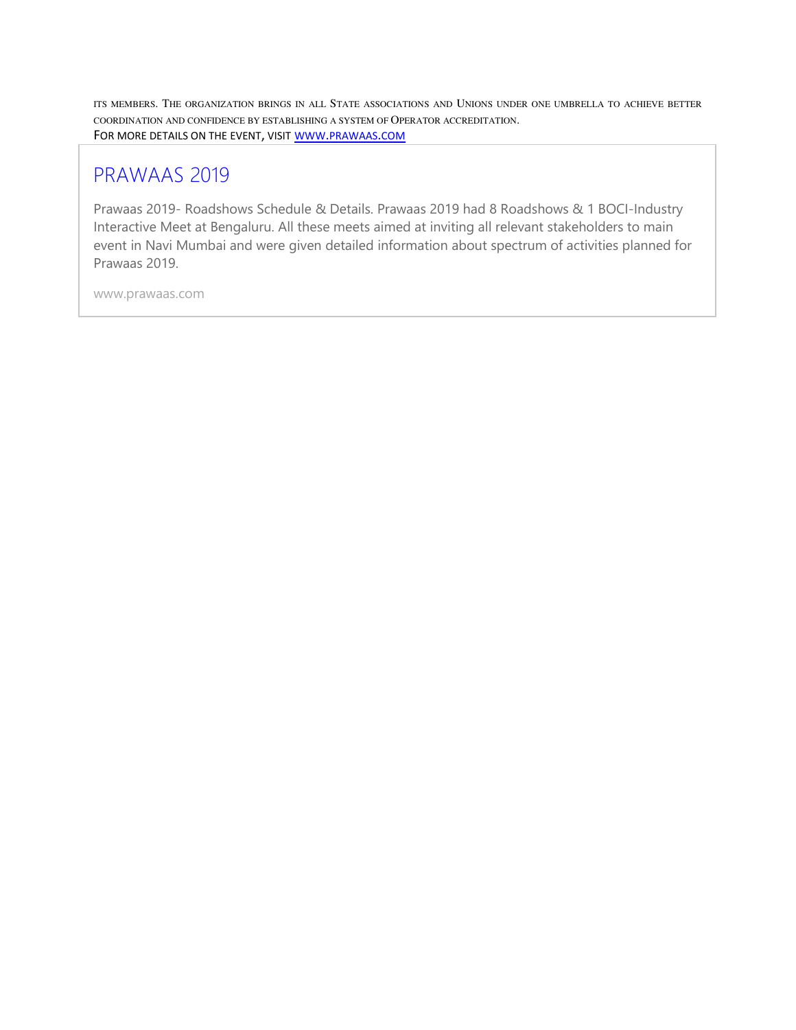ITS MEMBERS. THE ORGANIZATION BRINGS IN ALL STATE ASSOCIATIONS AND UNIONS UNDER ONE UMBRELLA TO ACHIEVE BETTER COORDINATION AND CONFIDENCE BY ESTABLISHING A SYSTEM OF OPERATOR ACCREDITATION. FOR MORE DETAILS ON THE EVENT, VISIT WWW.[PRAWAAS](http://www.prawaas.com/).COM

## [PRAWAAS 2019](http://www.prawaas.com/)

Prawaas 2019- Roadshows Schedule & Details. Prawaas 2019 had 8 Roadshows & 1 BOCI-Industry Interactive Meet at Bengaluru. All these meets aimed at inviting all relevant stakeholders to main event in Navi Mumbai and were given detailed information about spectrum of activities planned for Prawaas 2019.

www.prawaas.com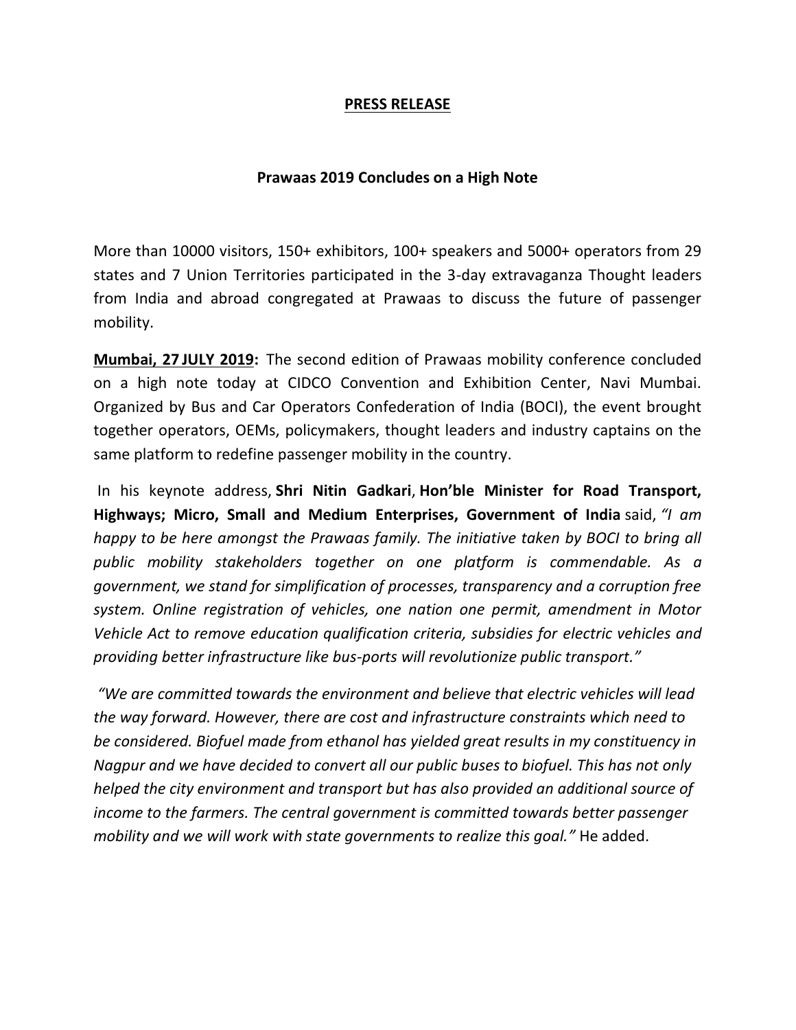## **PRESS RELEASE**

## **Prawaas 2019 Concludes on a High Note**

More than 10000 visitors, 150+ exhibitors, 100+ speakers and 5000+ operators from 29 states and 7 Union Territories participated in the 3-day extravaganza Thought leaders from India and abroad congregated at Prawaas to discuss the future of passenger mobility.

**Mumbai, 27 JULY 2019:** The second edition of Prawaas mobility conference concluded on a high note today at CIDCO Convention and Exhibition Center, Navi Mumbai. Organized by Bus and Car Operators Confederation of India (BOCI), the event brought together operators, OEMs, policymakers, thought leaders and industry captains on the same platform to redefine passenger mobility in the country.

 In his keynote address, **Shri Nitin Gadkari**, **Hon'ble Minister for Road Transport, Highways; Micro, Small and Medium Enterprises, Government of India** said, *"I am happy to be here amongst the Prawaas family. The initiative taken by BOCI to bring all public mobility stakeholders together on one platform is commendable. As a government, we stand for simplification of processes, transparency and a corruption free system. Online registration of vehicles, one nation one permit, amendment in Motor Vehicle Act to remove education qualification criteria, subsidies for electric vehicles and providing better infrastructure like bus-ports will revolutionize public transport."*

*"We are committed towards the environment and believe that electric vehicles will lead the way forward. However, there are cost and infrastructure constraints which need to be considered. Biofuel made from ethanol has yielded great results in my constituency in Nagpur and we have decided to convert all our public buses to biofuel. This has not only helped the city environment and transport but has also provided an additional source of income to the farmers. The central government is committed towards better passenger mobility and we will work with state governments to realize this goal."* He added.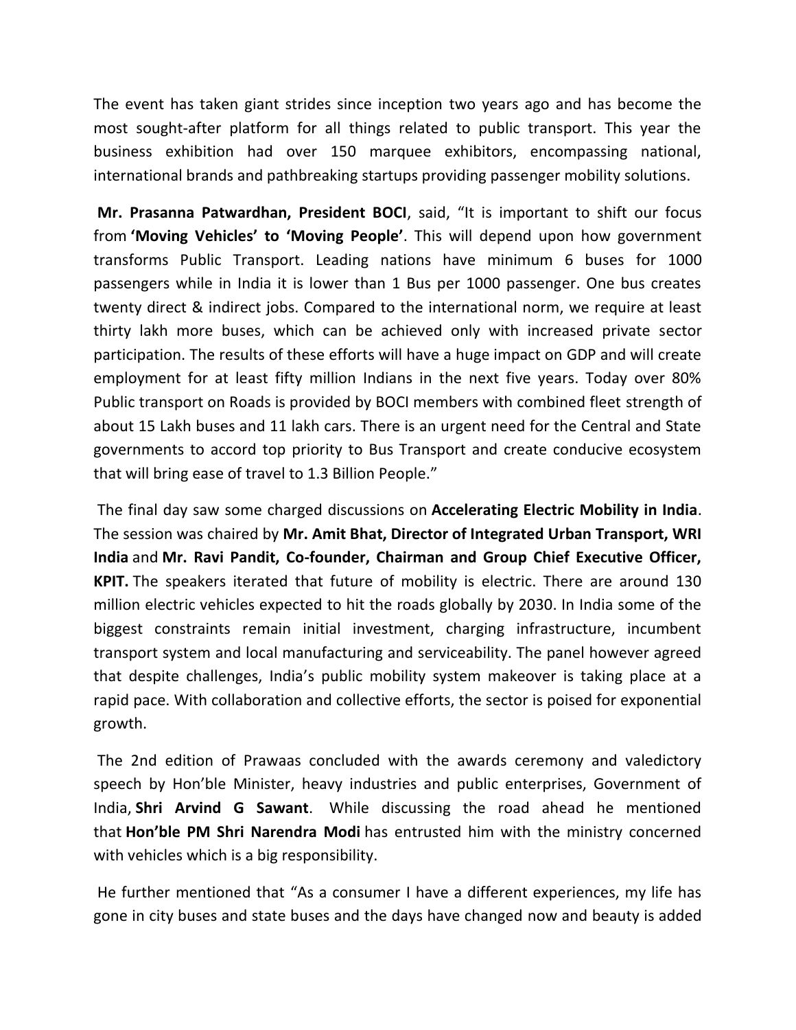The event has taken giant strides since inception two years ago and has become the most sought-after platform for all things related to public transport. This year the business exhibition had over 150 marquee exhibitors, encompassing national, international brands and pathbreaking startups providing passenger mobility solutions.

**Mr. Prasanna Patwardhan, President BOCI**, said, "It is important to shift our focus from **'Moving Vehicles' to 'Moving People'**. This will depend upon how government transforms Public Transport. Leading nations have minimum 6 buses for 1000 passengers while in India it is lower than 1 Bus per 1000 passenger. One bus creates twenty direct & indirect jobs. Compared to the international norm, we require at least thirty lakh more buses, which can be achieved only with increased private sector participation. The results of these efforts will have a huge impact on GDP and will create employment for at least fifty million Indians in the next five years. Today over 80% Public transport on Roads is provided by BOCI members with combined fleet strength of about 15 Lakh buses and 11 lakh cars. There is an urgent need for the Central and State governments to accord top priority to Bus Transport and create conducive ecosystem that will bring ease of travel to 1.3 Billion People."

The final day saw some charged discussions on **Accelerating Electric Mobility in India**. The session was chaired by **Mr. Amit Bhat, Director of Integrated Urban Transport, WRI India** and **Mr. Ravi Pandit, Co-founder, Chairman and Group Chief Executive Officer, KPIT.** The speakers iterated that future of mobility is electric. There are around 130 million electric vehicles expected to hit the roads globally by 2030. In India some of the biggest constraints remain initial investment, charging infrastructure, incumbent transport system and local manufacturing and serviceability. The panel however agreed that despite challenges, India's public mobility system makeover is taking place at a rapid pace. With collaboration and collective efforts, the sector is poised for exponential growth.

 The 2nd edition of Prawaas concluded with the awards ceremony and valedictory speech by Hon'ble Minister, heavy industries and public enterprises, Government of India, **Shri Arvind G Sawant**. While discussing the road ahead he mentioned that **Hon'ble PM Shri Narendra Modi** has entrusted him with the ministry concerned with vehicles which is a big responsibility.

 He further mentioned that "As a consumer I have a different experiences, my life has gone in city buses and state buses and the days have changed now and beauty is added